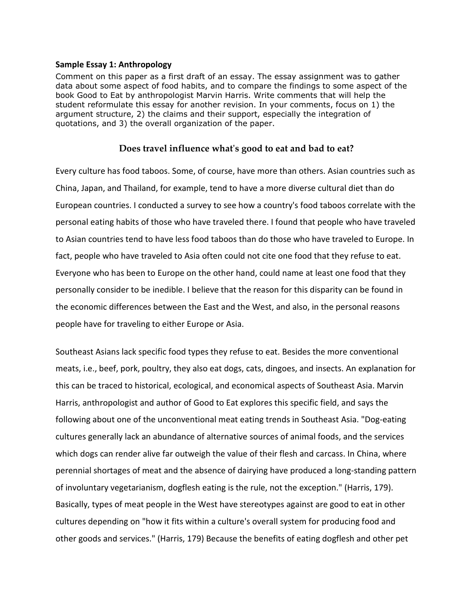## **Sample Essay 1: Anthropology**

Comment on this paper as a first draft of an essay. The essay assignment was to gather data about some aspect of food habits, and to compare the findings to some aspect of the book Good to Eat by anthropologist Marvin Harris. Write comments that will help the student reformulate this essay for another revision. In your comments, focus on 1) the argument structure, 2) the claims and their support, especially the integration of quotations, and 3) the overall organization of the paper.

## **Does travel influence what's good to eat and bad to eat?**

Every culture has food taboos. Some, of course, have more than others. Asian countries such as China, Japan, and Thailand, for example, tend to have a more diverse cultural diet than do European countries. I conducted a survey to see how a country's food taboos correlate with the personal eating habits of those who have traveled there. I found that people who have traveled to Asian countries tend to have less food taboos than do those who have traveled to Europe. In fact, people who have traveled to Asia often could not cite one food that they refuse to eat. Everyone who has been to Europe on the other hand, could name at least one food that they personally consider to be inedible. I believe that the reason for this disparity can be found in the economic differences between the East and the West, and also, in the personal reasons people have for traveling to either Europe or Asia.

Southeast Asians lack specific food types they refuse to eat. Besides the more conventional meats, i.e., beef, pork, poultry, they also eat dogs, cats, dingoes, and insects. An explanation for this can be traced to historical, ecological, and economical aspects of Southeast Asia. Marvin Harris, anthropologist and author of Good to Eat explores this specific field, and says the following about one of the unconventional meat eating trends in Southeast Asia. "Dog-eating cultures generally lack an abundance of alternative sources of animal foods, and the services which dogs can render alive far outweigh the value of their flesh and carcass. In China, where perennial shortages of meat and the absence of dairying have produced a long-standing pattern of involuntary vegetarianism, dogflesh eating is the rule, not the exception." (Harris, 179). Basically, types of meat people in the West have stereotypes against are good to eat in other cultures depending on "how it fits within a culture's overall system for producing food and other goods and services." (Harris, 179) Because the benefits of eating dogflesh and other pet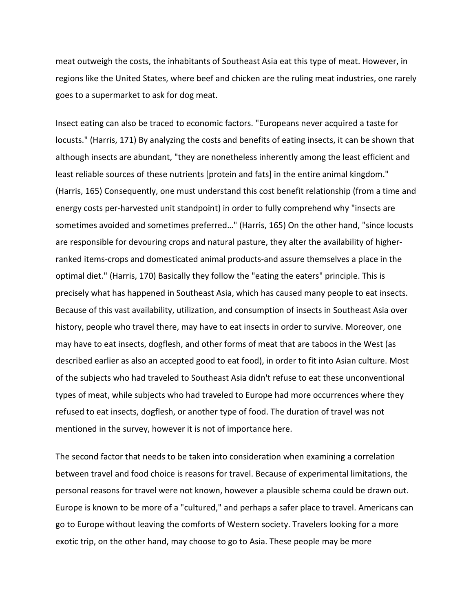meat outweigh the costs, the inhabitants of Southeast Asia eat this type of meat. However, in regions like the United States, where beef and chicken are the ruling meat industries, one rarely goes to a supermarket to ask for dog meat.

Insect eating can also be traced to economic factors. "Europeans never acquired a taste for locusts." (Harris, 171) By analyzing the costs and benefits of eating insects, it can be shown that although insects are abundant, "they are nonetheless inherently among the least efficient and least reliable sources of these nutrients [protein and fats] in the entire animal kingdom." (Harris, 165) Consequently, one must understand this cost benefit relationship (from a time and energy costs per-harvested unit standpoint) in order to fully comprehend why "insects are sometimes avoided and sometimes preferred…" (Harris, 165) On the other hand, "since locusts are responsible for devouring crops and natural pasture, they alter the availability of higherranked items-crops and domesticated animal products-and assure themselves a place in the optimal diet." (Harris, 170) Basically they follow the "eating the eaters" principle. This is precisely what has happened in Southeast Asia, which has caused many people to eat insects. Because of this vast availability, utilization, and consumption of insects in Southeast Asia over history, people who travel there, may have to eat insects in order to survive. Moreover, one may have to eat insects, dogflesh, and other forms of meat that are taboos in the West (as described earlier as also an accepted good to eat food), in order to fit into Asian culture. Most of the subjects who had traveled to Southeast Asia didn't refuse to eat these unconventional types of meat, while subjects who had traveled to Europe had more occurrences where they refused to eat insects, dogflesh, or another type of food. The duration of travel was not mentioned in the survey, however it is not of importance here.

The second factor that needs to be taken into consideration when examining a correlation between travel and food choice is reasons for travel. Because of experimental limitations, the personal reasons for travel were not known, however a plausible schema could be drawn out. Europe is known to be more of a "cultured," and perhaps a safer place to travel. Americans can go to Europe without leaving the comforts of Western society. Travelers looking for a more exotic trip, on the other hand, may choose to go to Asia. These people may be more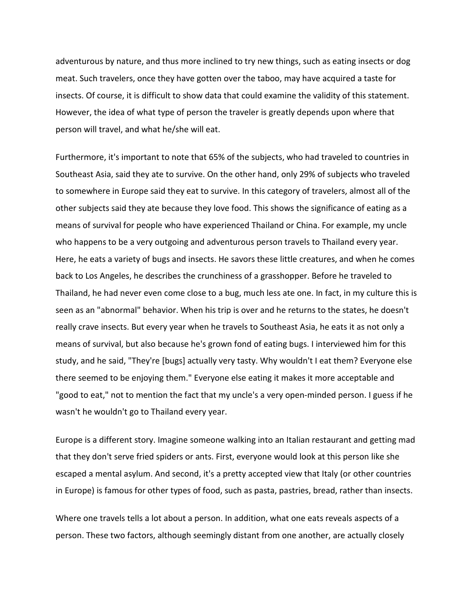adventurous by nature, and thus more inclined to try new things, such as eating insects or dog meat. Such travelers, once they have gotten over the taboo, may have acquired a taste for insects. Of course, it is difficult to show data that could examine the validity of this statement. However, the idea of what type of person the traveler is greatly depends upon where that person will travel, and what he/she will eat.

Furthermore, it's important to note that 65% of the subjects, who had traveled to countries in Southeast Asia, said they ate to survive. On the other hand, only 29% of subjects who traveled to somewhere in Europe said they eat to survive. In this category of travelers, almost all of the other subjects said they ate because they love food. This shows the significance of eating as a means of survival for people who have experienced Thailand or China. For example, my uncle who happens to be a very outgoing and adventurous person travels to Thailand every year. Here, he eats a variety of bugs and insects. He savors these little creatures, and when he comes back to Los Angeles, he describes the crunchiness of a grasshopper. Before he traveled to Thailand, he had never even come close to a bug, much less ate one. In fact, in my culture this is seen as an "abnormal" behavior. When his trip is over and he returns to the states, he doesn't really crave insects. But every year when he travels to Southeast Asia, he eats it as not only a means of survival, but also because he's grown fond of eating bugs. I interviewed him for this study, and he said, "They're [bugs] actually very tasty. Why wouldn't I eat them? Everyone else there seemed to be enjoying them." Everyone else eating it makes it more acceptable and "good to eat," not to mention the fact that my uncle's a very open-minded person. I guess if he wasn't he wouldn't go to Thailand every year.

Europe is a different story. Imagine someone walking into an Italian restaurant and getting mad that they don't serve fried spiders or ants. First, everyone would look at this person like she escaped a mental asylum. And second, it's a pretty accepted view that Italy (or other countries in Europe) is famous for other types of food, such as pasta, pastries, bread, rather than insects.

Where one travels tells a lot about a person. In addition, what one eats reveals aspects of a person. These two factors, although seemingly distant from one another, are actually closely